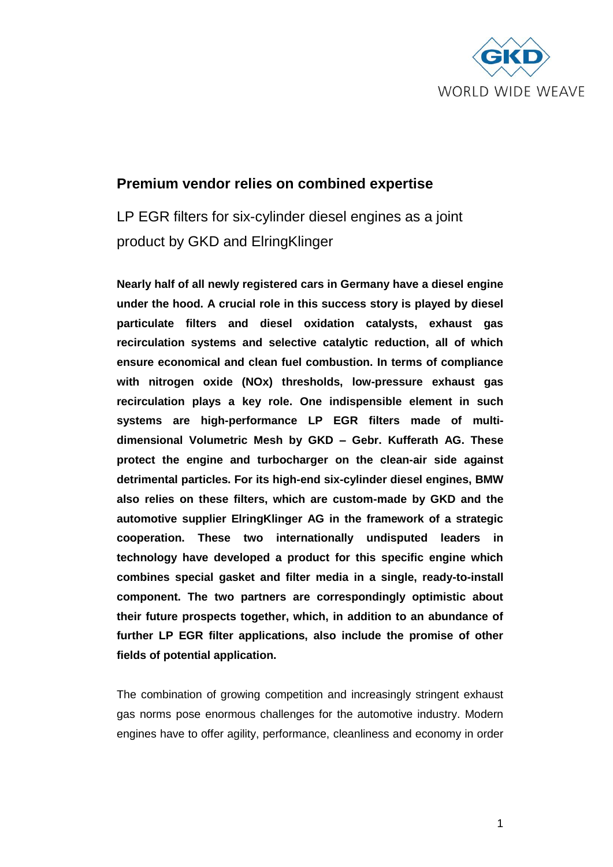

# **Premium vendor relies on combined expertise**

LP EGR filters for six-cylinder diesel engines as a joint product by GKD and ElringKlinger

**Nearly half of all newly registered cars in Germany have a diesel engine under the hood. A crucial role in this success story is played by diesel particulate filters and diesel oxidation catalysts, exhaust gas recirculation systems and selective catalytic reduction, all of which ensure economical and clean fuel combustion. In terms of compliance with nitrogen oxide (NOx) thresholds, low-pressure exhaust gas recirculation plays a key role. One indispensible element in such systems are high-performance LP EGR filters made of multidimensional Volumetric Mesh by GKD – Gebr. Kufferath AG. These protect the engine and turbocharger on the clean-air side against detrimental particles. For its high-end six-cylinder diesel engines, BMW also relies on these filters, which are custom-made by GKD and the automotive supplier ElringKlinger AG in the framework of a strategic cooperation. These two internationally undisputed leaders in technology have developed a product for this specific engine which combines special gasket and filter media in a single, ready-to-install component. The two partners are correspondingly optimistic about their future prospects together, which, in addition to an abundance of further LP EGR filter applications, also include the promise of other fields of potential application.**

The combination of growing competition and increasingly stringent exhaust gas norms pose enormous challenges for the automotive industry. Modern engines have to offer agility, performance, cleanliness and economy in order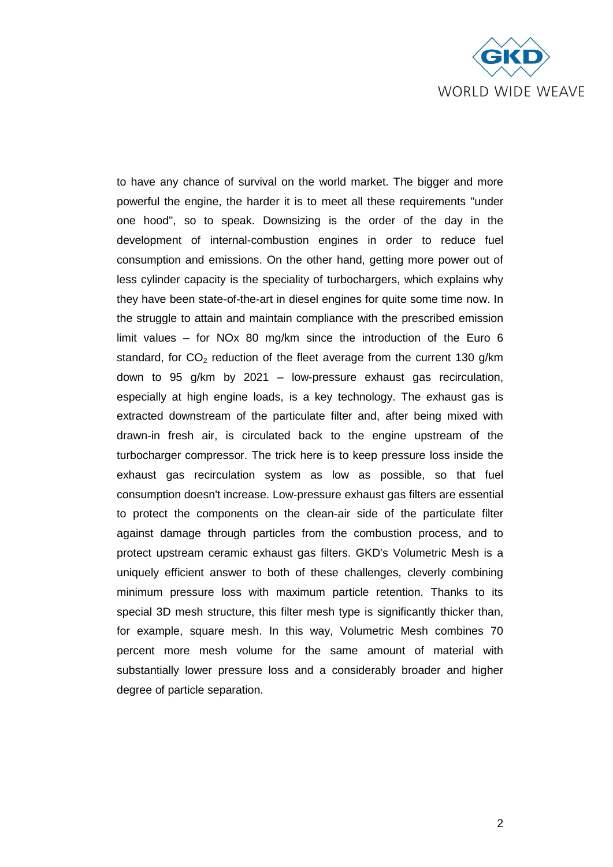

to have any chance of survival on the world market. The bigger and more powerful the engine, the harder it is to meet all these requirements "under one hood", so to speak. Downsizing is the order of the day in the development of internal-combustion engines in order to reduce fuel consumption and emissions. On the other hand, getting more power out of less cylinder capacity is the speciality of turbochargers, which explains why they have been state-of-the-art in diesel engines for quite some time now. In the struggle to attain and maintain compliance with the prescribed emission limit values – for NOx 80 mg/km since the introduction of the Euro 6 standard, for  $CO<sub>2</sub>$  reduction of the fleet average from the current 130 g/km down to 95 g/km by 2021 – low-pressure exhaust gas recirculation, especially at high engine loads, is a key technology. The exhaust gas is extracted downstream of the particulate filter and, after being mixed with drawn-in fresh air, is circulated back to the engine upstream of the turbocharger compressor. The trick here is to keep pressure loss inside the exhaust gas recirculation system as low as possible, so that fuel consumption doesn't increase. Low-pressure exhaust gas filters are essential to protect the components on the clean-air side of the particulate filter against damage through particles from the combustion process, and to protect upstream ceramic exhaust gas filters. GKD's Volumetric Mesh is a uniquely efficient answer to both of these challenges, cleverly combining minimum pressure loss with maximum particle retention. Thanks to its special 3D mesh structure, this filter mesh type is significantly thicker than, for example, square mesh. In this way, Volumetric Mesh combines 70 percent more mesh volume for the same amount of material with substantially lower pressure loss and a considerably broader and higher degree of particle separation.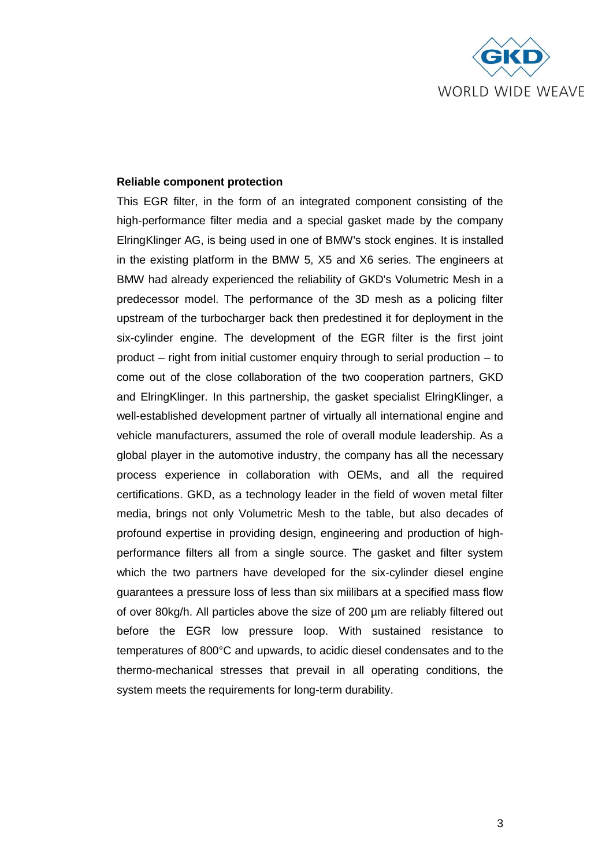

#### **Reliable component protection**

This EGR filter, in the form of an integrated component consisting of the high-performance filter media and a special gasket made by the company ElringKlinger AG, is being used in one of BMW's stock engines. It is installed in the existing platform in the BMW 5, X5 and X6 series. The engineers at BMW had already experienced the reliability of GKD's Volumetric Mesh in a predecessor model. The performance of the 3D mesh as a policing filter upstream of the turbocharger back then predestined it for deployment in the six-cylinder engine. The development of the EGR filter is the first joint product – right from initial customer enquiry through to serial production – to come out of the close collaboration of the two cooperation partners, GKD and ElringKlinger. In this partnership, the gasket specialist ElringKlinger, a well-established development partner of virtually all international engine and vehicle manufacturers, assumed the role of overall module leadership. As a global player in the automotive industry, the company has all the necessary process experience in collaboration with OEMs, and all the required certifications. GKD, as a technology leader in the field of woven metal filter media, brings not only Volumetric Mesh to the table, but also decades of profound expertise in providing design, engineering and production of highperformance filters all from a single source. The gasket and filter system which the two partners have developed for the six-cylinder diesel engine guarantees a pressure loss of less than six miilibars at a specified mass flow of over 80kg/h. All particles above the size of 200 µm are reliably filtered out before the EGR low pressure loop. With sustained resistance to temperatures of 800°C and upwards, to acidic diesel condensates and to the thermo-mechanical stresses that prevail in all operating conditions, the system meets the requirements for long-term durability.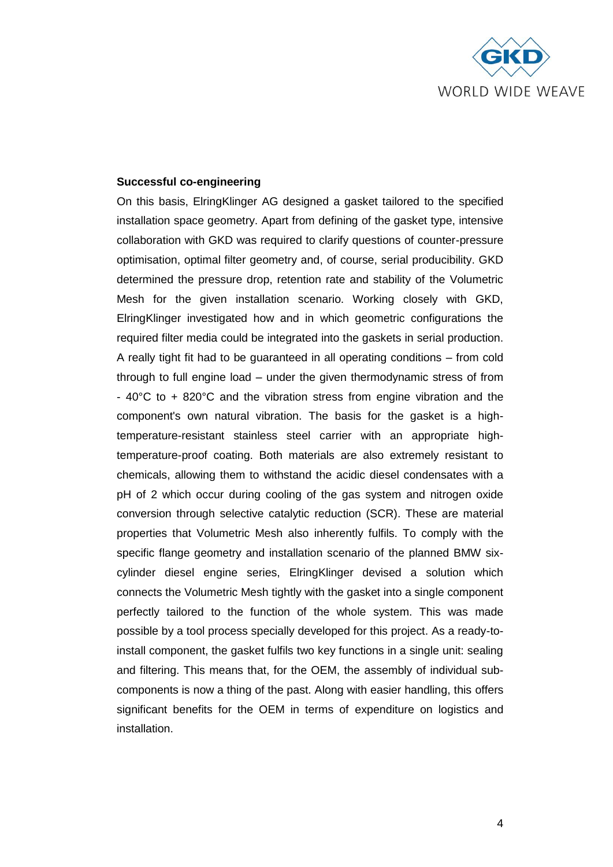

#### **Successful co-engineering**

On this basis, ElringKlinger AG designed a gasket tailored to the specified installation space geometry. Apart from defining of the gasket type, intensive collaboration with GKD was required to clarify questions of counter-pressure optimisation, optimal filter geometry and, of course, serial producibility. GKD determined the pressure drop, retention rate and stability of the Volumetric Mesh for the given installation scenario. Working closely with GKD, ElringKlinger investigated how and in which geometric configurations the required filter media could be integrated into the gaskets in serial production. A really tight fit had to be guaranteed in all operating conditions – from cold through to full engine load – under the given thermodynamic stress of from - 40°C to + 820°C and the vibration stress from engine vibration and the component's own natural vibration. The basis for the gasket is a hightemperature-resistant stainless steel carrier with an appropriate hightemperature-proof coating. Both materials are also extremely resistant to chemicals, allowing them to withstand the acidic diesel condensates with a pH of 2 which occur during cooling of the gas system and nitrogen oxide conversion through selective catalytic reduction (SCR). These are material properties that Volumetric Mesh also inherently fulfils. To comply with the specific flange geometry and installation scenario of the planned BMW sixcylinder diesel engine series, ElringKlinger devised a solution which connects the Volumetric Mesh tightly with the gasket into a single component perfectly tailored to the function of the whole system. This was made possible by a tool process specially developed for this project. As a ready-toinstall component, the gasket fulfils two key functions in a single unit: sealing and filtering. This means that, for the OEM, the assembly of individual subcomponents is now a thing of the past. Along with easier handling, this offers significant benefits for the OEM in terms of expenditure on logistics and installation.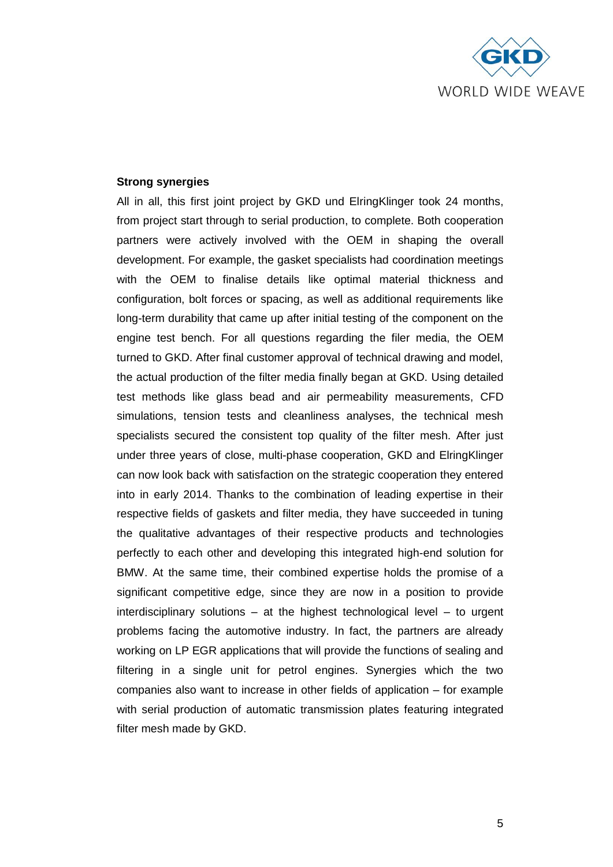

### **Strong synergies**

All in all, this first joint project by GKD und ElringKlinger took 24 months, from project start through to serial production, to complete. Both cooperation partners were actively involved with the OEM in shaping the overall development. For example, the gasket specialists had coordination meetings with the OEM to finalise details like optimal material thickness and configuration, bolt forces or spacing, as well as additional requirements like long-term durability that came up after initial testing of the component on the engine test bench. For all questions regarding the filer media, the OEM turned to GKD. After final customer approval of technical drawing and model, the actual production of the filter media finally began at GKD. Using detailed test methods like glass bead and air permeability measurements, CFD simulations, tension tests and cleanliness analyses, the technical mesh specialists secured the consistent top quality of the filter mesh. After just under three years of close, multi-phase cooperation, GKD and ElringKlinger can now look back with satisfaction on the strategic cooperation they entered into in early 2014. Thanks to the combination of leading expertise in their respective fields of gaskets and filter media, they have succeeded in tuning the qualitative advantages of their respective products and technologies perfectly to each other and developing this integrated high-end solution for BMW. At the same time, their combined expertise holds the promise of a significant competitive edge, since they are now in a position to provide interdisciplinary solutions – at the highest technological level – to urgent problems facing the automotive industry. In fact, the partners are already working on LP EGR applications that will provide the functions of sealing and filtering in a single unit for petrol engines. Synergies which the two companies also want to increase in other fields of application – for example with serial production of automatic transmission plates featuring integrated filter mesh made by GKD.